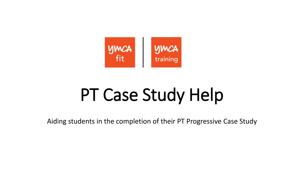

# PT Case Study Help

Aiding students in the completion of their PT Progressive Case Study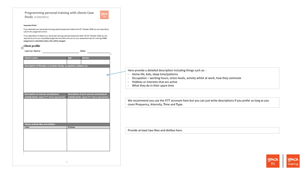

### Important Note\*

Client profile

If you attended your advanced training practical assessment before the 31th October 2016 you are required to submit this assignment online.

If you attended/will attend your advanced training practical assessment after the 31" October 2016 you are required to print your completed assignment and take with you on your assessment day for marking. If this assignment is submitted online a fee will be charged.

| <b>.</b>                                                                                       |                 |                                                                                              |
|------------------------------------------------------------------------------------------------|-----------------|----------------------------------------------------------------------------------------------|
| Learner Name:                                                                                  | Date:           |                                                                                              |
| <b>Client's name</b>                                                                           | Gender<br>Age   |                                                                                              |
|                                                                                                |                 |                                                                                              |
| Description of lifestyle, to include: family, occupation, hobbies etc.                         |                 |                                                                                              |
|                                                                                                |                 |                                                                                              |
|                                                                                                |                 |                                                                                              |
|                                                                                                |                 |                                                                                              |
|                                                                                                |                 |                                                                                              |
|                                                                                                |                 |                                                                                              |
|                                                                                                |                 |                                                                                              |
| <b>Description of exercise and physical</b><br>activity levels. (apply FITT where appropriate) |                 | Description of past exercise and physical<br>activity levels. (apply FITT where appropriate) |
|                                                                                                |                 |                                                                                              |
|                                                                                                |                 |                                                                                              |
|                                                                                                |                 |                                                                                              |
|                                                                                                |                 |                                                                                              |
|                                                                                                |                 |                                                                                              |
|                                                                                                |                 |                                                                                              |
| <b>Clients activity likes and dislikes</b><br>Likes                                            | <b>Dislikes</b> |                                                                                              |
|                                                                                                |                 |                                                                                              |
|                                                                                                |                 |                                                                                              |
|                                                                                                |                 |                                                                                              |
|                                                                                                |                 |                                                                                              |
|                                                                                                |                 |                                                                                              |
|                                                                                                |                 |                                                                                              |

 $\mathbbm{1}$ 

Here provide a detailed description including things such as: -

- Home life, kids, sleep time/patterns
- Occupation working hours, stress levels, activity whilst at work, how they commute
- Hobbies or interests that are active
- What they do in their spare time

We recommend you use the FITT acronym here but you can just write descriptions if you prefer as long as you cover **F**requency, **I**ntensity, **T**ime and **T**ype.

Provide at least two likes and dislikes here.

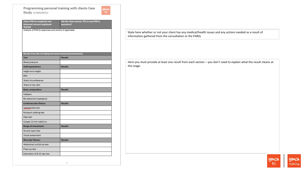**ymca** 

| <b>Client PAR-Q completed and</b>                         | Did the client answer YES to any PAR-Q |
|-----------------------------------------------------------|----------------------------------------|
| informed consent explained:<br>YES/NO                     | questions?                             |
| Analysis of PAR-Q responses and actions if applicable     |                                        |
|                                                           |                                        |
|                                                           |                                        |
|                                                           |                                        |
|                                                           |                                        |
| Results from the test (physical measurements/assessments) |                                        |
| <b>Test</b>                                               | <b>Results</b>                         |
| Blood pressure                                            |                                        |
| Anthropometrics:                                          | <b>Results</b>                         |
| height and weight                                         |                                        |
| BMI                                                       |                                        |
| Waist circumference                                       |                                        |
| Waist to hip ratio                                        |                                        |
| <b>Body composition:</b>                                  | <b>Results</b>                         |
| Callipers                                                 |                                        |
| Bio-electrical impedance                                  |                                        |
| <b>Cardiovascular fitness:</b>                            | <b>Results</b>                         |
| Astrand bike test                                         |                                        |
| Rockport walking test                                     |                                        |
| Step test                                                 |                                        |
| Cooper 12 min walk/run                                    |                                        |
| Range of movement:                                        | <b>Results</b>                         |
| Sit and reach test                                        |                                        |
| Visual assessment                                         |                                        |
| <b>Muscular fitness:</b>                                  | <b>Results</b>                         |
| Abdominal curl/sit up test                                |                                        |
| Press-up test                                             |                                        |
| Estimation of 8-12 rep max                                |                                        |
|                                                           |                                        |

 $\mathbb Z$ 

State here whether or not your client has any medical/health issues and any actions needed as a result of information gathered from the consultation or the PARQ.

Here you must provide at least one result from each section – you don't need to explain what the result means at this stage.

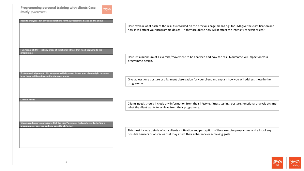yma<br>fit

| Results analysis - list any considerations for the programme based on the above         |
|-----------------------------------------------------------------------------------------|
|                                                                                         |
|                                                                                         |
|                                                                                         |
|                                                                                         |
|                                                                                         |
|                                                                                         |
|                                                                                         |
|                                                                                         |
|                                                                                         |
|                                                                                         |
| Functional ability - list any areas of functional fitness that need applying to the     |
|                                                                                         |
| programme                                                                               |
|                                                                                         |
|                                                                                         |
|                                                                                         |
|                                                                                         |
|                                                                                         |
|                                                                                         |
|                                                                                         |
| Posture and alignment - list any postural/alignment issues your client might have and   |
| how these will be addressed in the programme                                            |
|                                                                                         |
|                                                                                         |
|                                                                                         |
|                                                                                         |
|                                                                                         |
|                                                                                         |
|                                                                                         |
|                                                                                         |
| <b>Client's needs</b>                                                                   |
|                                                                                         |
|                                                                                         |
|                                                                                         |
|                                                                                         |
|                                                                                         |
|                                                                                         |
|                                                                                         |
|                                                                                         |
|                                                                                         |
| Clients readiness to participate (list the client's general feelings towards starting a |
| programme of exercise and any possible obstacles)                                       |
|                                                                                         |
|                                                                                         |
|                                                                                         |
|                                                                                         |
|                                                                                         |
|                                                                                         |
|                                                                                         |
|                                                                                         |
|                                                                                         |
|                                                                                         |

Here explain what each of the results recorded on the previous page means e.g. for BMI give the classification and how it will affect your programme design – if they are obese how will it affect the intensity of sessions etc?

Here list a minimum of 1 exercise/movement to be analysed and how the result/outcome will impact on your programme design.

Give at least one posture or alignment observation for your client and explain how you will address these in the programme.

Clients needs should include any information from their lifestyle, fitness testing, posture, functional analysis etc **and** what the client wants to achieve from their programme.

This must include details of your clients motivation and perception of their exercise programme and a list of any possible barriers or obstacles that may affect their adherence or achieving goals.

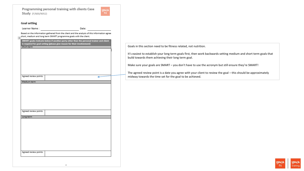

## **Goal setting**

Learner Name:

Date:

Based on the information gathered from the client and the analysis of this information agree Based on the information gathered from the client and the analysis of the short, medium and long term SMART programme goals with the client.

| Short-term            |  |
|-----------------------|--|
|                       |  |
|                       |  |
|                       |  |
|                       |  |
|                       |  |
|                       |  |
|                       |  |
|                       |  |
|                       |  |
|                       |  |
|                       |  |
| Agreed review points: |  |
|                       |  |
| Medium-term           |  |
|                       |  |
|                       |  |
|                       |  |
|                       |  |
|                       |  |
|                       |  |
|                       |  |
|                       |  |
|                       |  |
|                       |  |
|                       |  |
| Agreed review points  |  |
|                       |  |
| Long-term             |  |
|                       |  |
|                       |  |
|                       |  |
|                       |  |
|                       |  |
|                       |  |
|                       |  |
|                       |  |
|                       |  |
|                       |  |
|                       |  |
|                       |  |
|                       |  |
|                       |  |
|                       |  |
| Agreed review points: |  |
|                       |  |
|                       |  |

Goals in this section need to be fitness related, not nutrition.

It's easiest to establish your long term goals first, then work backwards setting medium and short term goals that build towards them achieving their long term goal.

Make sure your goals are SMART – you don't have to use the acronym but still ensure they're SMART!

The agreed review point is a date you agree with your client to review the goal – this should be approximately midway towards the time set for the goal to be achieved.

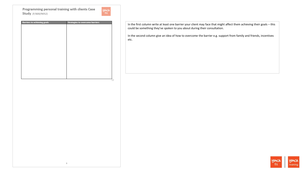

| <b>Barriers to achieving goals</b> | <b>Strategies to overcome barriers</b> |
|------------------------------------|----------------------------------------|
|                                    |                                        |
|                                    |                                        |
|                                    |                                        |
|                                    |                                        |
|                                    |                                        |
|                                    |                                        |
|                                    |                                        |
|                                    |                                        |
|                                    |                                        |
|                                    |                                        |
|                                    |                                        |
|                                    |                                        |
|                                    |                                        |
|                                    |                                        |
|                                    |                                        |
|                                    |                                        |

In the first column write at least one barrier your client may face that might affect them achieving their goals – this could be something they've spoken to you about during their consultation.

In the second column give an idea of how to overcome the barrier e.g. support from family and friends, incentives etc.

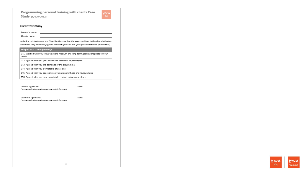

## **Client testimony**

Learner's name:

Client's name:

In signing this testimony you (the client) agree that the areas outlined in the checklist below have been fully explained/agreed between yourself and your personal trainer (the learner).

<u> 1980 - Johann Barbara, martxa al III-lea (h. 1974).</u>

| The personal trainer (learner):                                                              |       |
|----------------------------------------------------------------------------------------------|-------|
| CT1. Worked with you to agree short, medium and long-term goals appropriate to your<br>needs |       |
| CT2. Agreed with you your needs and readiness to participate                                 |       |
| CT3. Agreed with you the demands of the programme                                            |       |
| CT4. Agreed with you a timetable of sessions                                                 |       |
| CT5. Agreed with you appropriate evaluation methods and review dates                         |       |
| CT6. Agreed with you how to maintain contact between sessions                                |       |
|                                                                                              |       |
| Client's signature:<br>*an electronic signature is acceptable on this document               | Date: |
| Learner's signature:                                                                         | Date: |
| *an electronic signature is acceptable on this document                                      |       |
|                                                                                              |       |
|                                                                                              |       |
|                                                                                              |       |
|                                                                                              |       |
|                                                                                              |       |
|                                                                                              |       |
|                                                                                              |       |

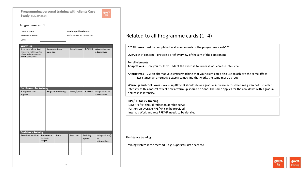## Programme card 1

| Environment and resources:<br>Assessor's name:<br>Date:<br>Warm up<br>Overview of content<br>Level/speed<br>RPE/HR<br>Equipment and<br>Adaptations or<br>(including mobility, pulse)<br>duration<br>alternatives<br>raising and pre-stretch -<br>where appropriate<br><b>Cardiovascular training</b><br>Equipment and<br>Level/speed<br>Adaptations or<br>Programme timings<br>RPE/HR<br>alternatives<br>approach<br><b>Resistance training</b><br>Exercise/machine<br>Adaptation(s)<br>Resistance<br>Reps<br>Sets : rest<br>Training<br>(kg/body<br>system<br>or<br>weight)<br>alternatives | Client's name: |  | Goal stage this relates to: |  |
|----------------------------------------------------------------------------------------------------------------------------------------------------------------------------------------------------------------------------------------------------------------------------------------------------------------------------------------------------------------------------------------------------------------------------------------------------------------------------------------------------------------------------------------------------------------------------------------------|----------------|--|-----------------------------|--|
|                                                                                                                                                                                                                                                                                                                                                                                                                                                                                                                                                                                              |                |  |                             |  |
|                                                                                                                                                                                                                                                                                                                                                                                                                                                                                                                                                                                              |                |  |                             |  |
|                                                                                                                                                                                                                                                                                                                                                                                                                                                                                                                                                                                              |                |  |                             |  |
|                                                                                                                                                                                                                                                                                                                                                                                                                                                                                                                                                                                              |                |  |                             |  |
|                                                                                                                                                                                                                                                                                                                                                                                                                                                                                                                                                                                              |                |  |                             |  |
|                                                                                                                                                                                                                                                                                                                                                                                                                                                                                                                                                                                              |                |  |                             |  |
|                                                                                                                                                                                                                                                                                                                                                                                                                                                                                                                                                                                              |                |  |                             |  |
|                                                                                                                                                                                                                                                                                                                                                                                                                                                                                                                                                                                              |                |  |                             |  |
|                                                                                                                                                                                                                                                                                                                                                                                                                                                                                                                                                                                              |                |  |                             |  |
|                                                                                                                                                                                                                                                                                                                                                                                                                                                                                                                                                                                              |                |  |                             |  |
|                                                                                                                                                                                                                                                                                                                                                                                                                                                                                                                                                                                              |                |  |                             |  |
|                                                                                                                                                                                                                                                                                                                                                                                                                                                                                                                                                                                              |                |  |                             |  |
|                                                                                                                                                                                                                                                                                                                                                                                                                                                                                                                                                                                              |                |  |                             |  |
|                                                                                                                                                                                                                                                                                                                                                                                                                                                                                                                                                                                              |                |  |                             |  |
|                                                                                                                                                                                                                                                                                                                                                                                                                                                                                                                                                                                              |                |  |                             |  |
|                                                                                                                                                                                                                                                                                                                                                                                                                                                                                                                                                                                              |                |  |                             |  |
|                                                                                                                                                                                                                                                                                                                                                                                                                                                                                                                                                                                              |                |  |                             |  |
|                                                                                                                                                                                                                                                                                                                                                                                                                                                                                                                                                                                              |                |  |                             |  |
|                                                                                                                                                                                                                                                                                                                                                                                                                                                                                                                                                                                              |                |  |                             |  |
|                                                                                                                                                                                                                                                                                                                                                                                                                                                                                                                                                                                              |                |  |                             |  |
|                                                                                                                                                                                                                                                                                                                                                                                                                                                                                                                                                                                              |                |  |                             |  |
|                                                                                                                                                                                                                                                                                                                                                                                                                                                                                                                                                                                              |                |  |                             |  |
|                                                                                                                                                                                                                                                                                                                                                                                                                                                                                                                                                                                              |                |  |                             |  |
|                                                                                                                                                                                                                                                                                                                                                                                                                                                                                                                                                                                              |                |  |                             |  |
|                                                                                                                                                                                                                                                                                                                                                                                                                                                                                                                                                                                              |                |  |                             |  |
|                                                                                                                                                                                                                                                                                                                                                                                                                                                                                                                                                                                              |                |  |                             |  |
|                                                                                                                                                                                                                                                                                                                                                                                                                                                                                                                                                                                              |                |  |                             |  |
|                                                                                                                                                                                                                                                                                                                                                                                                                                                                                                                                                                                              |                |  |                             |  |
|                                                                                                                                                                                                                                                                                                                                                                                                                                                                                                                                                                                              |                |  |                             |  |
|                                                                                                                                                                                                                                                                                                                                                                                                                                                                                                                                                                                              |                |  |                             |  |
|                                                                                                                                                                                                                                                                                                                                                                                                                                                                                                                                                                                              |                |  |                             |  |
|                                                                                                                                                                                                                                                                                                                                                                                                                                                                                                                                                                                              |                |  |                             |  |
|                                                                                                                                                                                                                                                                                                                                                                                                                                                                                                                                                                                              |                |  |                             |  |
|                                                                                                                                                                                                                                                                                                                                                                                                                                                                                                                                                                                              |                |  |                             |  |

# Related to all Programme cards (1- 4)

\*\*\*All boxes must be completed in all components of the programme cards\*\*\*

Overview of content – provide a brief overview of the aim of the component

## For all elements

**Adaptations** – how you could you adapt the exercise to increase or decrease intensity?

**Alternatives** – CV: an alternative exercise/machine that your client could also use to achieve the same affect Resistance: an alternative exercise/machine that works the same muscle group

**Warm up and cool down** – warm up RPE/HR should show a gradual increase across the time given not just a flat intensity as this doesn't reflect how a warm up should be done. The same applies for the cool down with a gradual decrease in intensity.

## **RPE/HR for CV training**

LSD: RPE/HR should reflect an aerobic curve Fartlek: an average RPE/HR can be provided Interval: Work and rest RPE/HR needs to be detailed

## **Resistance training**

Training system is the method  $-e.g.$  supersets, drop sets etc

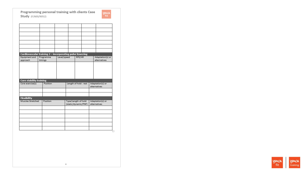| Cardiovascular training 2 - incorporating pulse lowering<br>Equipment and<br>approach | timings | Programme | Level/speed |                       | RPE/HR |  | Adaptation(s) or<br>alternatives |
|---------------------------------------------------------------------------------------|---------|-----------|-------------|-----------------------|--------|--|----------------------------------|
|                                                                                       |         |           |             |                       |        |  |                                  |
| <b>Core stability training</b><br>Core exercise(s)                                    |         | Position  |             | Length of hold : rest |        |  | Adaptation(s) or<br>alternatives |
| <b>Flexibility</b><br>Muscles Stretched                                               |         | Position  |             | Type/Length of hold   |        |  | Adaptation(s) or                 |
|                                                                                       |         |           |             | (static/dynamic/PNF)  |        |  | alternatives                     |
|                                                                                       |         |           |             |                       |        |  |                                  |
|                                                                                       |         |           |             |                       |        |  |                                  |

 $\rm s$ 

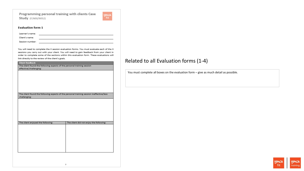

## **Evaluation form 1**

-

| Learner's name: |  |
|-----------------|--|
| Client's name:  |  |
| Session number: |  |

You will need to complete the 4 session evaluation forms. You must evaluate each of the 4 sessions you carry out with your client. You will need to gain feedback from your client in order to complete some of the sections within this evaluation form. These evaluations will link directly to the review of the client's goals.

| Client feedback                                                                          |                                         |
|------------------------------------------------------------------------------------------|-----------------------------------------|
| The client found the following aspects of the personal training session                  |                                         |
| effective/challenging:                                                                   |                                         |
|                                                                                          |                                         |
|                                                                                          |                                         |
|                                                                                          |                                         |
|                                                                                          |                                         |
|                                                                                          |                                         |
|                                                                                          |                                         |
|                                                                                          |                                         |
|                                                                                          |                                         |
| The client found the following aspects of the personal training session ineffective/less |                                         |
| challenging:                                                                             |                                         |
|                                                                                          |                                         |
|                                                                                          |                                         |
|                                                                                          |                                         |
|                                                                                          |                                         |
|                                                                                          |                                         |
|                                                                                          |                                         |
|                                                                                          |                                         |
| The client enjoyed the following:                                                        | The client did not enjoy the following: |
|                                                                                          |                                         |
|                                                                                          |                                         |
|                                                                                          |                                         |
|                                                                                          |                                         |
|                                                                                          |                                         |
|                                                                                          |                                         |
|                                                                                          |                                         |
|                                                                                          |                                         |
|                                                                                          |                                         |
|                                                                                          |                                         |
|                                                                                          |                                         |
|                                                                                          |                                         |
|                                                                                          |                                         |

 $\circ$ 

# Related to all Evaluation forms (1-4)

You must complete all boxes on the evaluation form – give as much detail as possible.

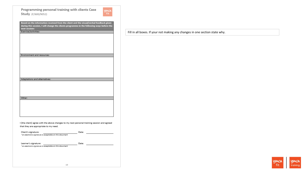

Based on the information received from the client and the visual/verbal feedback given during this session, I will change the clients programme in the following ways before the

| <u>next session:</u>                                                                        |       |
|---------------------------------------------------------------------------------------------|-------|
| Exercise/activities:                                                                        |       |
|                                                                                             |       |
|                                                                                             |       |
|                                                                                             |       |
|                                                                                             |       |
|                                                                                             |       |
|                                                                                             |       |
|                                                                                             |       |
|                                                                                             |       |
| Environment and resources:                                                                  |       |
|                                                                                             |       |
|                                                                                             |       |
|                                                                                             |       |
|                                                                                             |       |
|                                                                                             |       |
|                                                                                             |       |
|                                                                                             |       |
|                                                                                             |       |
|                                                                                             |       |
| Adaptations and alternatives:                                                               |       |
|                                                                                             |       |
|                                                                                             |       |
|                                                                                             |       |
|                                                                                             |       |
|                                                                                             |       |
|                                                                                             |       |
| Other:                                                                                      |       |
|                                                                                             |       |
|                                                                                             |       |
|                                                                                             |       |
|                                                                                             |       |
|                                                                                             |       |
|                                                                                             |       |
|                                                                                             |       |
|                                                                                             |       |
|                                                                                             |       |
| I (the client) agree with the above changes to my next personal training session and agreed |       |
| that they are appropriate to my need.                                                       |       |
|                                                                                             |       |
|                                                                                             |       |
| Client's signature:                                                                         | Date: |
| *an electronic signature is acceptable on this document                                     |       |
|                                                                                             |       |
|                                                                                             |       |
| Learner's signature:                                                                        | Date: |
| *an electronic signature is acceptable on this document                                     |       |
|                                                                                             |       |
|                                                                                             |       |
|                                                                                             |       |
|                                                                                             |       |
|                                                                                             |       |

Fill in all boxes. If your not making any changes in one section state why.

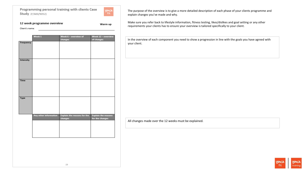

Warm up

## 12 week programme overview

Client's name:

Week 12 – overview Week 1 Week 6 - overview of changes of changes Frequency Intensity Time Type **Explain the reasons for the** Any other information **Explain the reasons** changes for the changes

The purpose of the overview is to give a more detailed description of each phase of your clients programme and explain changes you've made and why.

Make sure you refer back to lifestyle information, fitness testing, likes/dislikes and goal setting or any other requirements your clients has to ensure your overview is tailored specifically to your client.

In the overview of each component you need to show a progression in line with the goals you have agreed with your client.

All changes made over the 12 weeks must be explained.

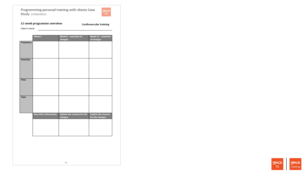

# 12 week programme overview

Cardiovascular training

|             | Week 1                | Week 6 - overview of<br>changes               | Week 12 - overview<br>of changes              |
|-------------|-----------------------|-----------------------------------------------|-----------------------------------------------|
| Frequency   |                       |                                               |                                               |
|             |                       |                                               |                                               |
|             |                       |                                               |                                               |
| Intensity   |                       |                                               |                                               |
|             |                       |                                               |                                               |
|             |                       |                                               |                                               |
|             |                       |                                               |                                               |
| <b>Time</b> |                       |                                               |                                               |
|             |                       |                                               |                                               |
|             |                       |                                               |                                               |
| <b>Type</b> |                       |                                               |                                               |
|             |                       |                                               |                                               |
|             |                       |                                               |                                               |
|             |                       |                                               |                                               |
|             | Any other information | <b>Explain the reasons for the</b><br>changes | <b>Explain the reasons</b><br>for the changes |
|             |                       |                                               |                                               |
|             |                       |                                               |                                               |
|             |                       |                                               |                                               |
|             |                       |                                               |                                               |

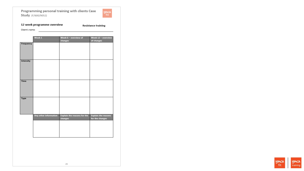

# 12 week programme overview

**Resistance training** 

Client's name:

|                  | Week 1                | Week 6 - overview of<br>changes               | Week 12 - overview<br>of changes              |
|------------------|-----------------------|-----------------------------------------------|-----------------------------------------------|
| Frequency        |                       |                                               |                                               |
| <b>Intensity</b> |                       |                                               |                                               |
| <b>Time</b>      |                       |                                               |                                               |
| <b>Type</b>      |                       |                                               |                                               |
|                  | Any other information | <b>Explain the reasons for the</b><br>changes | <b>Explain the reasons</b><br>for the changes |

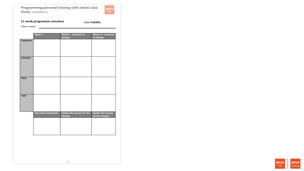

# 12 week programme overview

**Core Stability** 

Client's name:

|                  | Week 1                | Week 6 - overview of<br>changes               | Week 12 - overview<br>of changes              |
|------------------|-----------------------|-----------------------------------------------|-----------------------------------------------|
| Frequency        |                       |                                               |                                               |
| <b>Intensity</b> |                       |                                               |                                               |
| <b>Time</b>      |                       |                                               |                                               |
| <b>Type</b>      |                       |                                               |                                               |
|                  | Any other information | <b>Explain the reasons for the</b><br>changes | <b>Explain the reasons</b><br>for the changes |

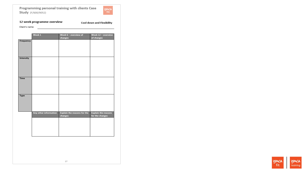

## 12 week programme overview

Cool down and Flexibility

Client's name:

|             | Week 1                | Week 6 - overview of               | Week 12 - overview         |
|-------------|-----------------------|------------------------------------|----------------------------|
|             |                       | changes                            | of changes                 |
| Frequency   |                       |                                    |                            |
|             |                       |                                    |                            |
|             |                       |                                    |                            |
|             |                       |                                    |                            |
|             |                       |                                    |                            |
|             |                       |                                    |                            |
|             |                       |                                    |                            |
| Intensity   |                       |                                    |                            |
|             |                       |                                    |                            |
|             |                       |                                    |                            |
|             |                       |                                    |                            |
|             |                       |                                    |                            |
|             |                       |                                    |                            |
|             |                       |                                    |                            |
| <b>Time</b> |                       |                                    |                            |
|             |                       |                                    |                            |
|             |                       |                                    |                            |
|             |                       |                                    |                            |
|             |                       |                                    |                            |
|             |                       |                                    |                            |
|             |                       |                                    |                            |
| <b>Type</b> |                       |                                    |                            |
|             |                       |                                    |                            |
|             |                       |                                    |                            |
|             |                       |                                    |                            |
|             |                       |                                    |                            |
|             |                       |                                    |                            |
|             |                       |                                    |                            |
|             | Any other information | <b>Explain the reasons for the</b> | <b>Explain the reasons</b> |
|             |                       | changes                            | for the changes            |
|             |                       |                                    |                            |
|             |                       |                                    |                            |
|             |                       |                                    |                            |
|             |                       |                                    |                            |
|             |                       |                                    |                            |
|             |                       |                                    |                            |
|             |                       |                                    |                            |
|             |                       |                                    |                            |

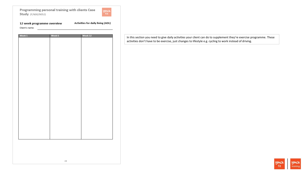

| 12 week programme overview | Activities for daily living (ADL) |
|----------------------------|-----------------------------------|
| Client's name:             |                                   |

| Week $\boldsymbol{1}$ | Week 6 | Week 12 |
|-----------------------|--------|---------|
|                       |        |         |
|                       |        |         |
|                       |        |         |
|                       |        |         |
|                       |        |         |
|                       |        |         |
|                       |        |         |
|                       |        |         |
|                       |        |         |
|                       |        |         |
|                       |        |         |
|                       |        |         |
|                       |        |         |
|                       |        |         |
|                       |        |         |
|                       |        |         |
|                       |        |         |
|                       |        |         |
|                       |        |         |
|                       |        |         |
|                       |        |         |
|                       |        |         |
|                       |        |         |
|                       |        |         |
|                       |        |         |
|                       |        |         |
|                       |        |         |
|                       |        |         |
|                       |        |         |
|                       |        |         |
|                       |        |         |
|                       |        |         |
|                       | 28     |         |

In this section you need to give daily activities your client can do to supplement they're exercise programme. These activities don't have to be exercise, just changes to lifestyle e.g. cycling to work instead of driving.

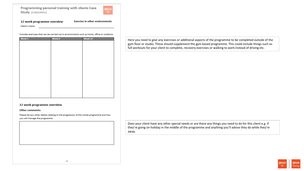

#### 12 week programme overview **Exercise in other environments**

Client's name:

Includes exercises that can be carried out in environments such as home, office or outdoors

| Week 1 | Week 6 | Week 12 |
|--------|--------|---------|
|        |        |         |
|        |        |         |
|        |        |         |
|        |        |         |
|        |        |         |
|        |        |         |
|        |        |         |
|        |        |         |
|        |        |         |
|        |        |         |
|        |        |         |
|        |        |         |
|        |        |         |
|        |        |         |
|        |        |         |
|        |        |         |
|        |        |         |
|        |        |         |
|        |        |         |
|        |        |         |
|        |        |         |

## 12 week programme overview

Other comments:

Please list any other details relating to the progression of the whole programme and how you will manage the programme

Here you need to give any exercises or additional aspects of the programme to be completed outside of the gym floor or studio. These should supplement the gym based programme. This could include things such as full workouts for your client to complete, recovery exercises or walking to work instead of driving etc.

Does your client have any other special needs or are there any things you need to do for this client e.g. if they're going on holiday in the middle of the programme and anything you'll advise they do while they're away.

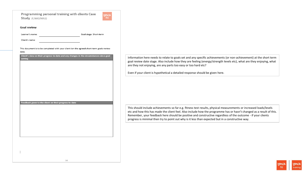

Goal stage: Short-term

## **Goal review**

Learner's name:

Client's name:

This document is to be completed with your client ion the agreed short-term goals review

### date.

| Feedback given to the client on their progress to date | setting | Client's view on their progress to date and any changes in the circumstances since goal |  |
|--------------------------------------------------------|---------|-----------------------------------------------------------------------------------------|--|
|                                                        |         |                                                                                         |  |
|                                                        |         |                                                                                         |  |
|                                                        |         |                                                                                         |  |
|                                                        |         |                                                                                         |  |
|                                                        |         |                                                                                         |  |
|                                                        |         |                                                                                         |  |
|                                                        |         |                                                                                         |  |
|                                                        |         |                                                                                         |  |
|                                                        |         |                                                                                         |  |
|                                                        |         |                                                                                         |  |
|                                                        |         |                                                                                         |  |
|                                                        |         |                                                                                         |  |
|                                                        |         |                                                                                         |  |
|                                                        |         |                                                                                         |  |
|                                                        |         |                                                                                         |  |
|                                                        |         |                                                                                         |  |
|                                                        |         |                                                                                         |  |
|                                                        |         |                                                                                         |  |
|                                                        |         |                                                                                         |  |
|                                                        |         |                                                                                         |  |
|                                                        |         |                                                                                         |  |
|                                                        |         |                                                                                         |  |
|                                                        |         |                                                                                         |  |
|                                                        |         |                                                                                         |  |
|                                                        |         |                                                                                         |  |
|                                                        |         |                                                                                         |  |

Information here needs to relate to goals set and any specific achievements (or non-achievement) at the short term goal review date stage. Also include how they are feeling (energy/strength levels etc), what are they enjoying, what are they not enjoying, are any parts too easy or too hard etc?

Even if your client is hypothetical a detailed response should be given here.

This should include achievements so far e.g. fitness test results, physical measurements or increased loads/levels etc and how this has made the client feel. Also include how the programme has or hasn't changed as a result of this. Remember, your feedback here should be positive and constructive regardless of the outcome - if your clients progress is minimal then try to point out why is it less than expected but in a constructive way.

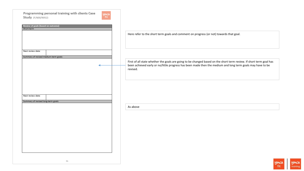| Programming personal training with clients Case<br>yma<br><sup>fit</sup><br><b>Study</b> (F/600/9052) |                                                                                                                                                                                                                                               |
|-------------------------------------------------------------------------------------------------------|-----------------------------------------------------------------------------------------------------------------------------------------------------------------------------------------------------------------------------------------------|
| Review of goals (based on outcome)<br>Short-term                                                      | Here refer to the short term goals and comment on progress (or not) towards that goal.                                                                                                                                                        |
| Next review date:                                                                                     |                                                                                                                                                                                                                                               |
| Summary of revised medium-term goals:                                                                 | First of all state whether the goals are going to be changed based on the short term review. If short term goal has<br>been achieved early or no/little progress has been made then the medium and long term goals may have to be<br>revised. |
|                                                                                                       |                                                                                                                                                                                                                                               |
| Next review date:<br>Summary of revised long-term goals:                                              |                                                                                                                                                                                                                                               |
|                                                                                                       | As above                                                                                                                                                                                                                                      |
|                                                                                                       |                                                                                                                                                                                                                                               |
|                                                                                                       |                                                                                                                                                                                                                                               |
| 31                                                                                                    | LAIALOA                                                                                                                                                                                                                                       |

**ymcA**<br>training **ymca**